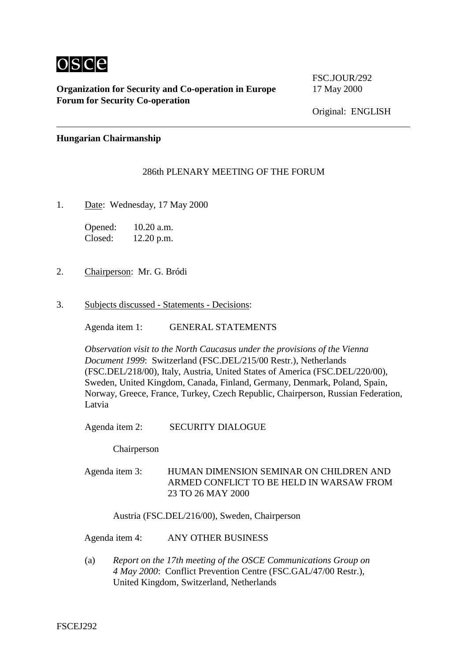

 $\overline{a}$ 

## **Organization for Security and Co-operation in Europe** 17 May 2000 **Forum for Security Co-operation**

FSC.JOUR/292

Original: ENGLISH

## **Hungarian Chairmanship**

## 286th PLENARY MEETING OF THE FORUM

1. Date: Wednesday, 17 May 2000

Opened: 10.20 a.m. Closed: 12.20 p.m.

- 2. Chairperson: Mr. G. Bródi
- 3. Subjects discussed Statements Decisions:

Agenda item 1: GENERAL STATEMENTS

*Observation visit to the North Caucasus under the provisions of the Vienna Document 1999*: Switzerland (FSC.DEL/215/00 Restr.), Netherlands (FSC.DEL/218/00), Italy, Austria, United States of America (FSC.DEL/220/00), Sweden, United Kingdom, Canada, Finland, Germany, Denmark, Poland, Spain, Norway, Greece, France, Turkey, Czech Republic, Chairperson, Russian Federation, Latvia

## Agenda item 2: SECURITY DIALOGUE

Chairperson

Agenda item 3: HUMAN DIMENSION SEMINAR ON CHILDREN AND ARMED CONFLICT TO BE HELD IN WARSAW FROM 23 TO 26 MAY 2000

Austria (FSC.DEL/216/00), Sweden, Chairperson

Agenda item 4: ANY OTHER BUSINESS

(a) *Report on the 17th meeting of the OSCE Communications Group on 4 May 2000*: Conflict Prevention Centre (FSC.GAL/47/00 Restr.), United Kingdom, Switzerland, Netherlands